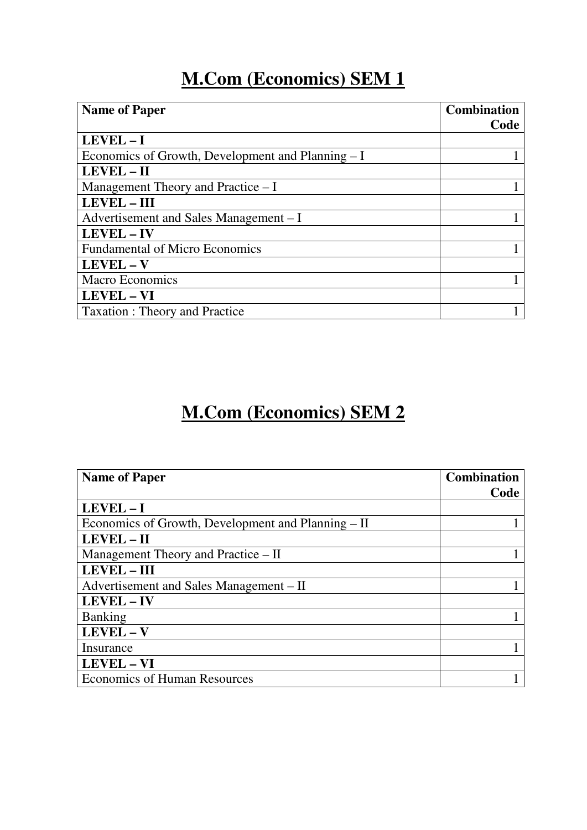## **M.Com (Economics) SEM 1**

| <b>Name of Paper</b>                              | <b>Combination</b> |
|---------------------------------------------------|--------------------|
|                                                   | Code               |
| LEVEL-I                                           |                    |
| Economics of Growth, Development and Planning - I |                    |
| LEVEL - II                                        |                    |
| Management Theory and Practice – I                |                    |
| <b>LEVEL - III</b>                                |                    |
| Advertisement and Sales Management – I            |                    |
| LEVEL - IV                                        |                    |
| <b>Fundamental of Micro Economics</b>             |                    |
| LEVEL - V                                         |                    |
| <b>Macro Economics</b>                            |                    |
| LEVEL - VI                                        |                    |
| <b>Taxation: Theory and Practice</b>              |                    |

## **M.Com (Economics) SEM 2**

| <b>Name of Paper</b>                               | <b>Combination</b> |
|----------------------------------------------------|--------------------|
|                                                    | Code               |
| LEVEL-I                                            |                    |
| Economics of Growth, Development and Planning – II |                    |
| LEVEL - II                                         |                    |
| Management Theory and Practice – II                |                    |
| <b>LEVEL - III</b>                                 |                    |
| Advertisement and Sales Management – II            |                    |
| LEVEL - IV                                         |                    |
| <b>Banking</b>                                     |                    |
| LEVEL-V                                            |                    |
| Insurance                                          |                    |
| LEVEL - VI                                         |                    |
| <b>Economics of Human Resources</b>                |                    |